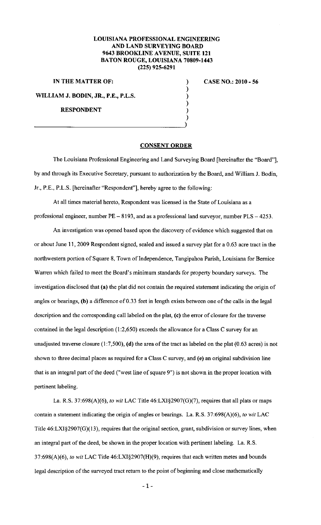## **LOUISIANA PROFESSIONAL ENGINEERING AND LAND SURVEYING BOARD 9643 BROOKLINE AVENUE, SUITE 121 BATON ROUGE, LOUISIANA 70809-1443 (225) 925-6291**

**IN THE MATTER OF:** )

**WILLIAM J. BODIN, JR., P.E., P.L.S.** 

**RESPONDENT** 

## **CASE NO.: 2010- 56**

## **CONSENT ORDER**

) ) ) ) )

The Louisiana Professional Engineering and Land Surveying Board [hereinafter the "Board"], by and through its Executive Secretary, pursuant to authorization by the Board, and William J. Bodin, Jr., P.E., P.L.S. [hereinafter "Respondent"], hereby agree to the following:

At all times material hereto, Respondent was licensed in the State of Louisiana as a professional engineer, number  $PE-8193$ , and as a professional land surveyor, number  $PLS-4253$ .

An investigation was opened based upon the discovery of evidence which suggested that on or about June 11, 2009 Respondent signed, sealed and issued a survey plat for a 0.63 acre tract in the northwestern portion of Square 8, Town of Independence, Tangipahoa Parish, Louisiana for Bernice Warren which failed to meet the Board's minimum standards for property boundary surveys. The investigation disclosed that (a) the plat did not contain the required statement indicating the origin of angles or bearings, (b) a difference of 0.33 feet in length exists between one of the calls in the legal description and the corresponding call labeled on the plat, (c) the error of closure for the traverse contained in the legal description  $(1:2,650)$  exceeds the allowance for a Class C survey for an unadjusted traverse closure (1:7,500), **(d)** the area of the tract as labeled on the plat (0.63 acres) is not shown to three decimal places as required for a Class C survey, and (e) an original subdivision line that is an integral part of the deed ("west line of square 9") is not shown in the proper location with pertinent labeling.

La. R.S. 37:698(A)(6), *to wit* LAC Title 46:LXI§2907(G)(7), requires that all plats or maps contain a statement indicating the origin of angles or bearings. La. R.S. 37:698(A)(6), *to wit* LAC Title 46:LXI§2907(G)(I3), requires that the original section, grant, subdivision or survey lines, when an integral part of the deed, be shown in the proper location with pertinent labeling. La. R.S. 37:698(A)(6), *to wit* LAC Title 46:LXI§2907(H)(9), requires that each written metes and bounds legal description of the surveyed tract return to the point of beginning and close mathematically

**-1-**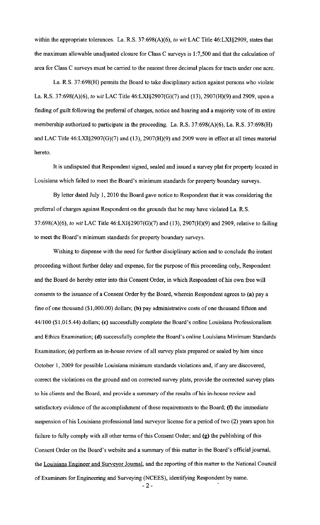within the appropriate tolerances. La. R.S. 37:698(A)(6), *to wit* LAC Title 46:LXI§2909, states that the maximum allowable unadjusted closure for Class C surveys is 1:7,500 and that the calculation of area for Class C surveys must be carried to the nearest three decimal places for tracts under one acre.

La. R.S. 37:698(H) permits the Board to take disciplinary action against persons who violate La. R.S. 37:698(A)(6), *to wit* LAC Title 46:LXI§2907(G)(7) and (13), 2907(H)(9) and 2909, upon a finding of guilt following the preferral of charges, notice and hearing and a majority vote of its entire membership authorized to participate in the proceeding. La. R.S. 37:698(A)(6), La. R.S. 37:698(H) and LAC Title 46:LXI§2907(G)(7) and (13), 2907(H)(9) and 2909 were in effect at all times material hereto.

It is undisputed that Respondent signed, sealed and issued a survey plat for property located in Louisiana which failed to meet the Board's minimum standards for property boundary surveys.

By letter dated July 1, 2010 the Board gave notice to Respondent that it was considering the preferral of charges against Respondent on the grounds that he may have violated La. R.S. 37:698(A)(6), *to wit* LAC Title 46:LXI§2907(G)(7) and (13), 2907(H)(9) and 2909, relative to failing to meet the Board's minimum standards for property boundary surveys.

Wishing to dispense with the need for further disciplinary action and to conclude the instant proceeding without further delay and expense, for the purpose of this proceeding only, Respondent and the Board do hereby enter into this Consent Order, in which Respondent of his own free will consents to the issuance of a Consent Order by the Board, wherein Respondent agrees to (a) pay a fine of one thousand (\$1,000.00) dollars; (b) pay administrative costs of one thousand fifteen and 44/100 (\$1,015.44) dollars; (c) successfully complete the Board's online Louisiana Professionalism and Ethics Examination; (d) successfully complete the Board's online Louisiana Minimum Standards Examination; (e) perform an in-house review of all survey plats prepared or sealed by him since October I, 2009 for possible Louisiana minimum standards violations and, if any are discovered, correct the violations on the ground and on corrected survey plats, provide the corrected survey plats to his clients and the Board, and provide a summary of the results of his in-house review and satisfactory evidence of the accomplishment of these requirements to the Board;  $(f)$  the immediate suspension of his Louisiana professional land surveyor license for a period of two (2) years upon his failure to fully comply with all other terms of this Consent Order; and (g) the publishing of this Consent Order on the Board's website and a summary of this matter in the Board's official journal, the Louisiana Engineer and Surveyor Journal, and the reporting of this matter to the National Council of Examiners for Engineering and Surveying (NCEES), identifying Respondent by name.

-2-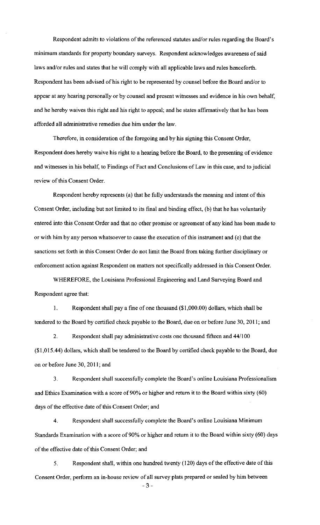Respondent admits to violations of the referenced statutes and/or rules regarding the Board's minimum standards for property boundary surveys. Respondent acknowledges awareness of said laws and/or rules and states that he will comply with all applicable laws and rules henceforth. Respondent has been advised of his right to be represented by counsel before the Board and/or to appear at any hearing personally or by counsel and present witnesses and evidence in his own behalf, and he hereby waives this right and his right to appeal; and he states affirmatively that he has been afforded all administrative remedies due him under the law.

Therefore, in consideration of the foregoing and by his signing this Consent Order, Respondent does hereby waive his right to a hearing before the Board, to the presenting of evidence and witnesses in his behalf, to Findings of Fact and Conclusions of Law in this case, and to judicial review of this Consent Order.

Respondent hereby represents (a) that he fully understands the meaning and intent of this Consent Order, including but not limited to its final and binding effect, (b) that he has voluntarily entered into this Consent Order and that no other promise or agreement of any kind has been made to or with him by any person whatsoever to cause the execution of this instrument and (c) that the sanctions set forth in this Consent Order do not limit the Board from taking further disciplinary or enforcement action against Respondent on matters not specifically addressed in this Consent Order.

WHEREFORE, the Louisiana Professional Engineering and Land Surveying Board and Respondent agree that:

I. Respondent shall pay a fine of one thousand (\$1,000.00) dollars, which shall be tendered to the Board by certified check payable to the Board, due on or before June 30, 20 II; and

2. Respondent shall pay administrative costs one thousand fifteen and 44/100 (\$1,015.44) dollars, which shall be tendered to the Board by certified check payable to the Board, due on or before June 30, 2011; and

3. Respondent shall successfully complete the Board's online Louisiana Professionalism and Ethics Examination with a score of 90% or higher and return it to the Board within sixty (60) days of the effective date of this Consent Order; and

4. Respondent shall successfully complete the Board's online Louisiana Minimum Standards Examination with a score of 90% or higher and return it to the Board within sixty ( 60) days of the effective date of this Consent Order; and

5. Respondent shall, within one hundred twenty ( 120) days of the effective date of this Consent Order, perform an in-house review of all survey plats prepared or sealed by him between -3-